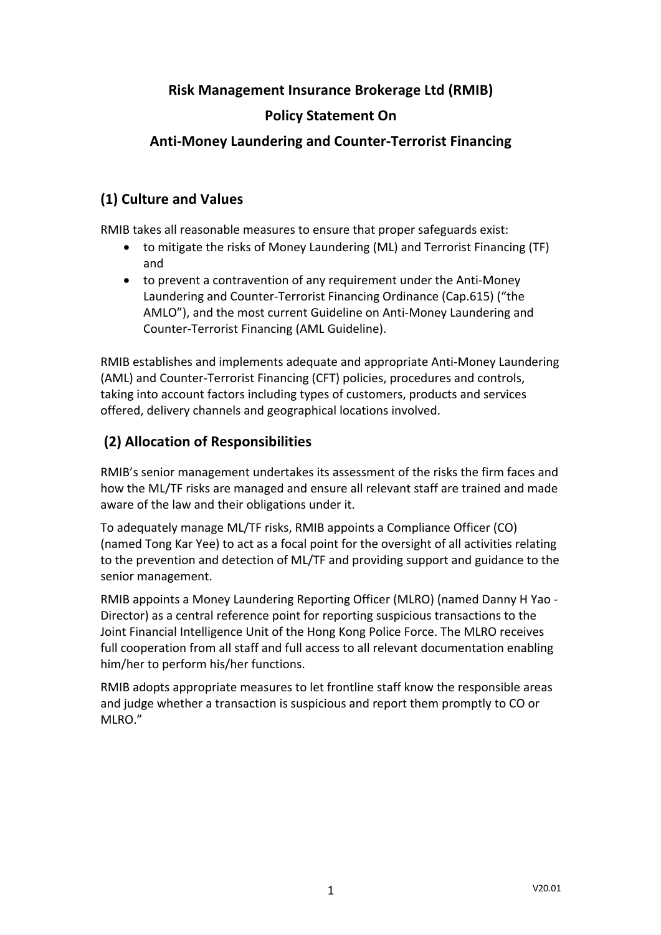### **Risk Management Insurance Brokerage Ltd (RMIB)**

#### **Policy Statement On**

#### **Anti-Money Laundering and Counter-Terrorist Financing**

#### **(1) Culture and Values**

RMIB takes all reasonable measures to ensure that proper safeguards exist:

- to mitigate the risks of Money Laundering (ML) and Terrorist Financing (TF) and
- to prevent a contravention of any requirement under the Anti-Money Laundering and Counter-Terrorist Financing Ordinance (Cap.615) ("the AMLO"), and the most current Guideline on Anti-Money Laundering and Counter-Terrorist Financing (AML Guideline).

RMIB establishes and implements adequate and appropriate Anti-Money Laundering (AML) and Counter-Terrorist Financing (CFT) policies, procedures and controls, taking into account factors including types of customers, products and services offered, delivery channels and geographical locations involved.

# **(2) Allocation of Responsibilities**

RMIB's senior management undertakes its assessment of the risks the firm faces and how the ML/TF risks are managed and ensure all relevant staff are trained and made aware of the law and their obligations under it.

To adequately manage ML/TF risks, RMIB appoints a Compliance Officer (CO) (named Tong Kar Yee) to act as a focal point for the oversight of all activities relating to the prevention and detection of ML/TF and providing support and guidance to the senior management.

RMIB appoints a Money Laundering Reporting Officer (MLRO) (named Danny H Yao - Director) as a central reference point for reporting suspicious transactions to the Joint Financial Intelligence Unit of the Hong Kong Police Force. The MLRO receives full cooperation from all staff and full access to all relevant documentation enabling him/her to perform his/her functions.

RMIB adopts appropriate measures to let frontline staff know the responsible areas and judge whether a transaction is suspicious and report them promptly to CO or MLRO."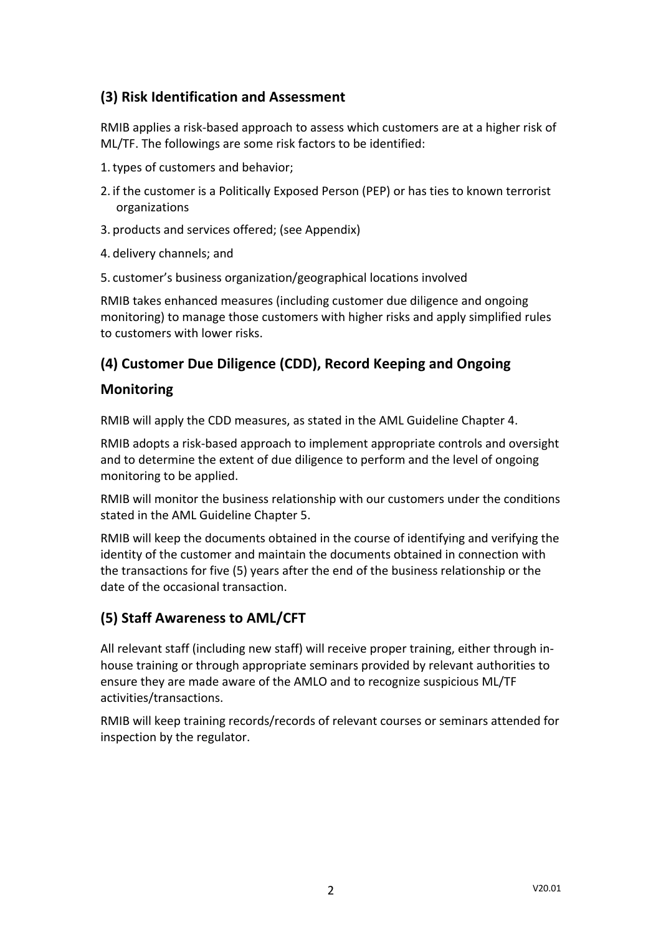# **(3) Risk Identification and Assessment**

RMIB applies a risk-based approach to assess which customers are at a higher risk of ML/TF. The followings are some risk factors to be identified:

- 1.types of customers and behavior;
- 2. if the customer is a Politically Exposed Person (PEP) or has ties to known terrorist organizations
- 3. products and services offered; (see Appendix)
- 4. delivery channels; and
- 5. customer's business organization/geographical locations involved

RMIB takes enhanced measures (including customer due diligence and ongoing monitoring) to manage those customers with higher risks and apply simplified rules to customers with lower risks.

## **(4) Customer Due Diligence (CDD), Record Keeping and Ongoing**

#### **Monitoring**

RMIB will apply the CDD measures, as stated in the AML Guideline Chapter 4.

RMIB adopts a risk-based approach to implement appropriate controls and oversight and to determine the extent of due diligence to perform and the level of ongoing monitoring to be applied.

RMIB will monitor the business relationship with our customers under the conditions stated in the AML Guideline Chapter 5.

RMIB will keep the documents obtained in the course of identifying and verifying the identity of the customer and maintain the documents obtained in connection with the transactions for five (5) years after the end of the business relationship or the date of the occasional transaction.

## **(5) Staff Awareness to AML/CFT**

All relevant staff (including new staff) will receive proper training, either through inhouse training or through appropriate seminars provided by relevant authorities to ensure they are made aware of the AMLO and to recognize suspicious ML/TF activities/transactions.

RMIB will keep training records/records of relevant courses or seminars attended for inspection by the regulator.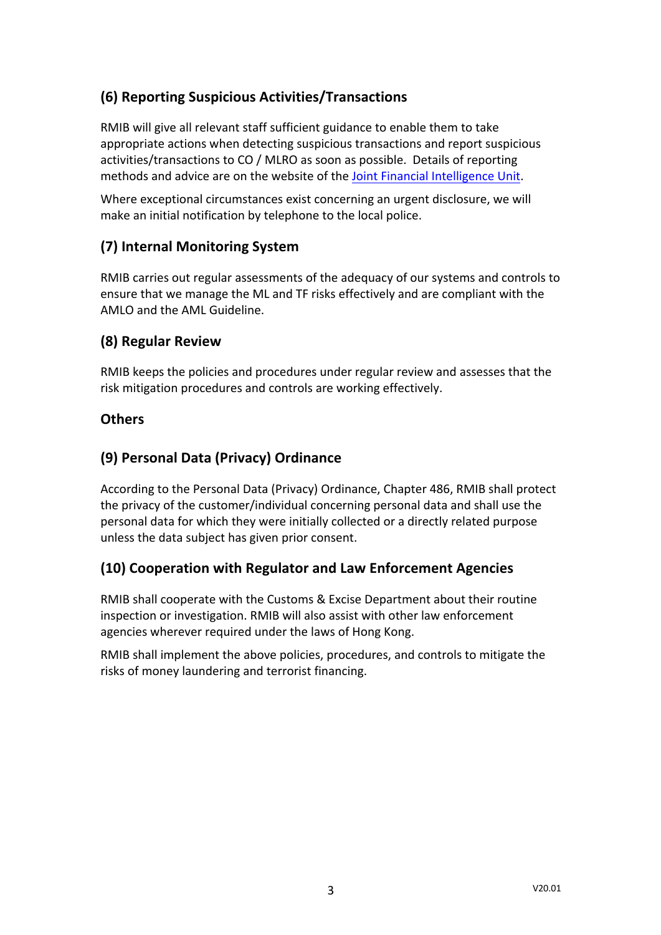# **(6) Reporting Suspicious Activities/Transactions**

RMIB will give all relevant staff sufficient guidance to enable them to take appropriate actions when detecting suspicious transactions and report suspicious activities/transactions to CO / MLRO as soon as possible. Details of reporting methods and advice are on the website of the Joint Financial Intelligence Unit.

Where exceptional circumstances exist concerning an urgent disclosure, we will make an initial notification by telephone to the local police.

# **(7) Internal Monitoring System**

RMIB carries out regular assessments of the adequacy of our systems and controls to ensure that we manage the ML and TF risks effectively and are compliant with the AMLO and the AML Guideline.

### **(8) Regular Review**

RMIB keeps the policies and procedures under regular review and assesses that the risk mitigation procedures and controls are working effectively.

### **Others**

## **(9) Personal Data (Privacy) Ordinance**

According to the Personal Data (Privacy) Ordinance, Chapter 486, RMIB shall protect the privacy of the customer/individual concerning personal data and shall use the personal data for which they were initially collected or a directly related purpose unless the data subject has given prior consent.

## **(10) Cooperation with Regulator and Law Enforcement Agencies**

RMIB shall cooperate with the Customs & Excise Department about their routine inspection or investigation. RMIB will also assist with other law enforcement agencies wherever required under the laws of Hong Kong.

RMIB shall implement the above policies, procedures, and controls to mitigate the risks of money laundering and terrorist financing.